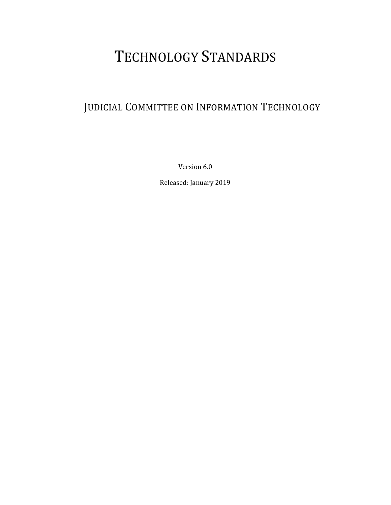# TECHNOLOGY STANDARDS

## JUDICIAL COMMITTEE ON INFORMATION TECHNOLOGY

Version 6.0

Released: January 2019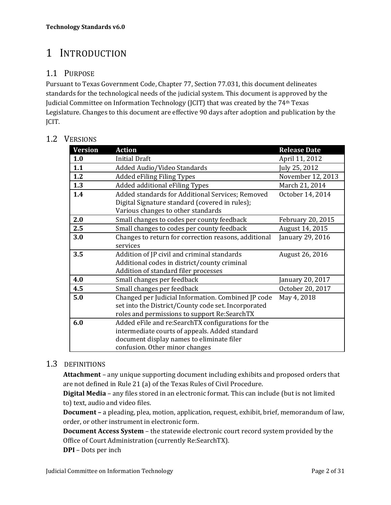## 1 INTRODUCTION

## 1.1 PURPOSE

Pursuant to Texas Government Code, Chapter 77, Section 77.031, this document delineates standards for the technological needs of the judicial system. This document is approved by the Judicial Committee on Information Technology (JCIT) that was created by the 74th Texas Legislature. Changes to this document are effective 90 days after adoption and publication by the JCIT.

### 1.2 VERSIONS

| <b>Version</b> | <b>Action</b>                                        | <b>Release Date</b> |
|----------------|------------------------------------------------------|---------------------|
| 1.0            | <b>Initial Draft</b>                                 | April 11, 2012      |
| 1.1            | Added Audio/Video Standards                          | July 25, 2012       |
| 1.2            | <b>Added eFiling Filing Types</b>                    | November 12, 2013   |
| 1.3            | Added additional eFiling Types                       | March 21, 2014      |
| 1.4            | Added standards for Additional Services; Removed     | October 14, 2014    |
|                | Digital Signature standard (covered in rules);       |                     |
|                | Various changes to other standards                   |                     |
| 2.0            | Small changes to codes per county feedback           | February 20, 2015   |
| 2.5            | Small changes to codes per county feedback           | August 14, 2015     |
| 3.0            | Changes to return for correction reasons, additional | January 29, 2016    |
|                | services                                             |                     |
| 3.5            | Addition of JP civil and criminal standards          | August 26, 2016     |
|                | Additional codes in district/county criminal         |                     |
|                | Addition of standard filer processes                 |                     |
| 4.0            | Small changes per feedback                           | January 20, 2017    |
| 4.5            | Small changes per feedback                           | October 20, 2017    |
| 5.0            | Changed per Judicial Information. Combined JP code   | May 4, 2018         |
|                | set into the District/County code set. Incorporated  |                     |
|                | roles and permissions to support Re:SearchTX         |                     |
| 6.0            | Added eFile and re:SearchTX configurations for the   |                     |
|                | intermediate courts of appeals. Added standard       |                     |
|                | document display names to eliminate filer            |                     |
|                | confusion. Other minor changes                       |                     |

## 1.3 DEFINITIONS

**Attachment** – any unique supporting document including exhibits and proposed orders that are not defined in Rule 21 (a) of the Texas Rules of Civil Procedure.

**Digital Media** – any files stored in an electronic format. This can include (but is not limited to) text, audio and video files.

**Document –** a pleading, plea, motion, application, request, exhibit, brief, memorandum of law, order, or other instrument in electronic form.

**Document Access System** – the statewide electronic court record system provided by the Office of Court Administration (currently Re:SearchTX).

**DPI** – Dots per inch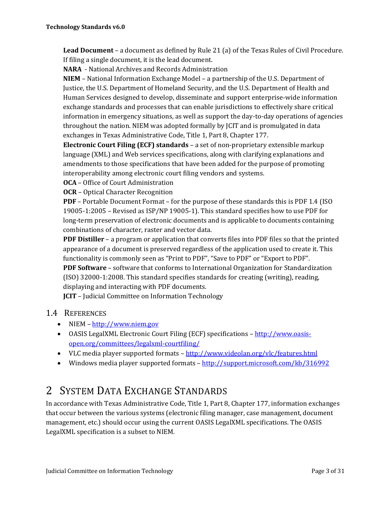**Lead Document** – a document as defined by Rule 21 (a) of the Texas Rules of Civil Procedure. If filing a single document, it is the lead document.

**NARA** - National Archives and Records Administration

**NIEM** – National Information Exchange Model – a partnership of the U.S. Department of Justice, the U.S. Department of Homeland Security, and the U.S. Department of Health and Human Services designed to develop, disseminate and support enterprise-wide information exchange standards and processes that can enable jurisdictions to effectively share critical information in emergency situations, as well as support the day-to-day operations of agencies throughout the nation. NIEM was adopted formally by JCIT and is promulgated in data exchanges in Texas Administrative Code, Title 1, Part 8, Chapter 177.

**Electronic Court Filing (ECF) standards** – a set of non-proprietary extensible markup language (XML) and Web services specifications, along with clarifying explanations and amendments to those specifications that have been added for the purpose of promoting interoperability among electronic court filing vendors and systems.

**OCA** – Office of Court Administration

**OCR** – Optical Character Recognition

**PDF** – Portable Document Format – for the purpose of these standards this is PDF 1.4 (ISO 19005-1:2005 – Revised as ISP/NP 19005-1). This standard specifies how to use PDF for long-term preservation of electronic documents and is applicable to documents containing combinations of character, raster and vector data.

**PDF Distiller** – a program or application that converts files into PDF files so that the printed appearance of a document is preserved regardless of the application used to create it. This functionality is commonly seen as "Print to PDF", "Save to PDF" or "Export to PDF".

**PDF Software** – software that conforms to International Organization for Standardization (ISO) 32000-1:2008. This standard specifies standards for creating (writing), reading, displaying and interacting with PDF documents.

**JCIT** – Judicial Committee on Information Technology

#### 1.4 REFERENCES

- $\bullet$  NIEM http://www.niem.gov
- OASIS LegalXML Electronic Court Filing (ECF) specifications http://www.oasisopen.org/committees/legalxml-courtfiling/
- VLC media player supported formats http://www.videolan.org/vlc/features.html
- Windows media player supported formats http://support.microsoft.com/kb/316992

## 2 SYSTEM DATA EXCHANGE STANDARDS

In accordance with Texas Administrative Code, Title 1, Part 8, Chapter 177, information exchanges that occur between the various systems (electronic filing manager, case management, document management, etc.) should occur using the current OASIS LegalXML specifications. The OASIS LegalXML specification is a subset to NIEM.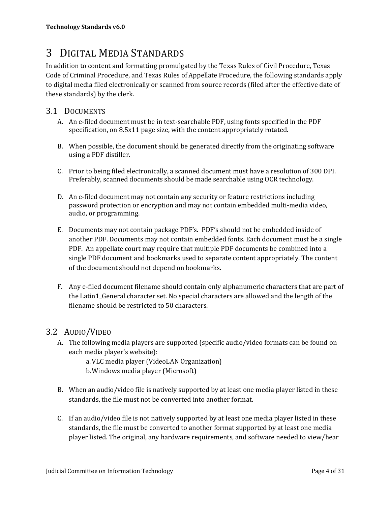## 3 DIGITAL MEDIA STANDARDS

In addition to content and formatting promulgated by the Texas Rules of Civil Procedure, Texas Code of Criminal Procedure, and Texas Rules of Appellate Procedure, the following standards apply to digital media filed electronically or scanned from source records (filed after the effective date of these standards) by the clerk.

## 3.1 DOCUMENTS

- A. An e-filed document must be in text-searchable PDF, using fonts specified in the PDF specification, on 8.5x11 page size, with the content appropriately rotated.
- B. When possible, the document should be generated directly from the originating software using a PDF distiller.
- C. Prior to being filed electronically, a scanned document must have a resolution of 300 DPI. Preferably, scanned documents should be made searchable using OCR technology.
- D. An e-filed document may not contain any security or feature restrictions including password protection or encryption and may not contain embedded multi-media video, audio, or programming.
- E. Documents may not contain package PDF's. PDF's should not be embedded inside of another PDF. Documents may not contain embedded fonts. Each document must be a single PDF. An appellate court may require that multiple PDF documents be combined into a single PDF document and bookmarks used to separate content appropriately. The content of the document should not depend on bookmarks.
- F. Any e-filed document filename should contain only alphanumeric characters that are part of the Latin1\_General character set. No special characters are allowed and the length of the filename should be restricted to 50 characters.

## 3.2 AUDIO/VIDEO

A. The following media players are supported (specific audio/video formats can be found on each media player's website):

> a.VLC media player (VideoLAN Organization) b.Windows media player (Microsoft)

- B. When an audio/video file is natively supported by at least one media player listed in these standards, the file must not be converted into another format.
- C. If an audio/video file is not natively supported by at least one media player listed in these standards, the file must be converted to another format supported by at least one media player listed. The original, any hardware requirements, and software needed to view/hear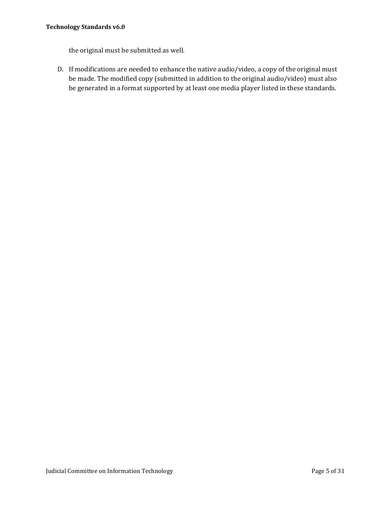the original must be submitted as well.

D. If modifications are needed to enhance the native audio/video, a copy of the original must be made. The modified copy (submitted in addition to the original audio/video) must also be generated in a format supported by at least one media player listed in these standards.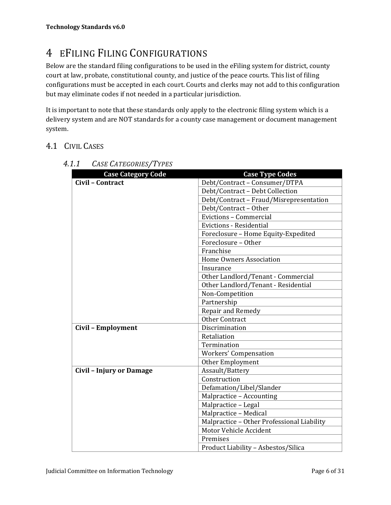## 4 EFILING FILING CONFIGURATIONS

Below are the standard filing configurations to be used in the eFiling system for district, county court at law, probate, constitutional county, and justice of the peace courts. This list of filing configurations must be accepted in each court. Courts and clerks may not add to this configuration but may eliminate codes if not needed in a particular jurisdiction.

It is important to note that these standards only apply to the electronic filing system which is a delivery system and are NOT standards for a county case management or document management system.

## 4.1 CIVIL CASES

| <b>Case Category Code</b>       | <b>Case Type Codes</b>                     |
|---------------------------------|--------------------------------------------|
| Civil - Contract                | Debt/Contract - Consumer/DTPA              |
|                                 | Debt/Contract - Debt Collection            |
|                                 | Debt/Contract - Fraud/Misrepresentation    |
|                                 | Debt/Contract - Other                      |
|                                 | Evictions - Commercial                     |
|                                 | <b>Evictions - Residential</b>             |
|                                 | Foreclosure - Home Equity-Expedited        |
|                                 | Foreclosure - Other                        |
|                                 | Franchise                                  |
|                                 | <b>Home Owners Association</b>             |
|                                 | Insurance                                  |
|                                 | Other Landlord/Tenant - Commercial         |
|                                 | Other Landlord/Tenant - Residential        |
|                                 | Non-Competition                            |
|                                 | Partnership                                |
|                                 | Repair and Remedy                          |
|                                 | Other Contract                             |
| Civil - Employment              | Discrimination                             |
|                                 | Retaliation                                |
|                                 | Termination                                |
|                                 | <b>Workers' Compensation</b>               |
|                                 | <b>Other Employment</b>                    |
| <b>Civil - Injury or Damage</b> | Assault/Battery                            |
|                                 | Construction                               |
|                                 | Defamation/Libel/Slander                   |
|                                 | Malpractice - Accounting                   |
|                                 | Malpractice - Legal                        |
|                                 | Malpractice - Medical                      |
|                                 | Malpractice - Other Professional Liability |
|                                 | Motor Vehicle Accident                     |
|                                 | Premises                                   |
|                                 | Product Liability - Asbestos/Silica        |

## *4.1.1 CASE CATEGORIES/TYPES*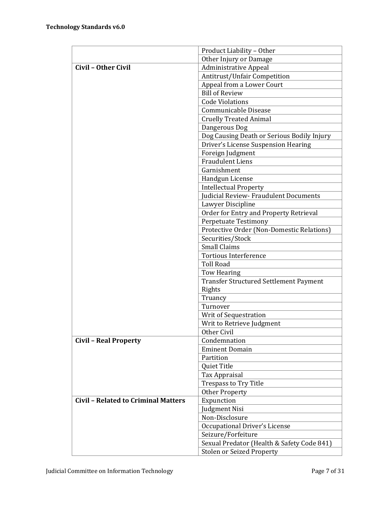|                                            | Product Liability - Other                     |
|--------------------------------------------|-----------------------------------------------|
|                                            | Other Injury or Damage                        |
| <b>Civil - Other Civil</b>                 | <b>Administrative Appeal</b>                  |
|                                            | Antitrust/Unfair Competition                  |
|                                            | Appeal from a Lower Court                     |
|                                            | <b>Bill of Review</b>                         |
|                                            | <b>Code Violations</b>                        |
|                                            | Communicable Disease                          |
|                                            | <b>Cruelly Treated Animal</b>                 |
|                                            | Dangerous Dog                                 |
|                                            | Dog Causing Death or Serious Bodily Injury    |
|                                            | Driver's License Suspension Hearing           |
|                                            | Foreign Judgment                              |
|                                            | <b>Fraudulent Liens</b>                       |
|                                            | Garnishment                                   |
|                                            | Handgun License                               |
|                                            | <b>Intellectual Property</b>                  |
|                                            | Judicial Review- Fraudulent Documents         |
|                                            | Lawyer Discipline                             |
|                                            | Order for Entry and Property Retrieval        |
|                                            | <b>Perpetuate Testimony</b>                   |
|                                            | Protective Order (Non-Domestic Relations)     |
|                                            | Securities/Stock                              |
|                                            | <b>Small Claims</b>                           |
|                                            | <b>Tortious Interference</b>                  |
|                                            | <b>Toll Road</b>                              |
|                                            | Tow Hearing                                   |
|                                            | <b>Transfer Structured Settlement Payment</b> |
|                                            | Rights                                        |
|                                            | Truancy                                       |
|                                            | Turnover                                      |
|                                            | Writ of Sequestration                         |
|                                            | Writ to Retrieve Judgment                     |
|                                            | Other Civil                                   |
| <b>Civil - Real Property</b>               | Condemnation                                  |
|                                            | <b>Eminent Domain</b>                         |
|                                            | Partition                                     |
|                                            | Quiet Title                                   |
|                                            | Tax Appraisal                                 |
|                                            | Trespass to Try Title                         |
|                                            | <b>Other Property</b>                         |
| <b>Civil - Related to Criminal Matters</b> | Expunction                                    |
|                                            | Judgment Nisi                                 |
|                                            | Non-Disclosure                                |
|                                            | Occupational Driver's License                 |
|                                            | Seizure/Forfeiture                            |
|                                            | Sexual Predator (Health & Safety Code 841)    |
|                                            | <b>Stolen or Seized Property</b>              |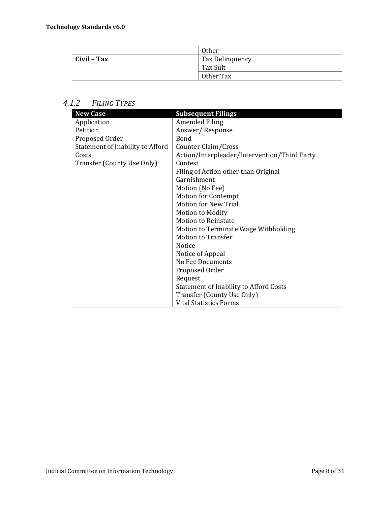|             | 0ther           |
|-------------|-----------------|
| Civil - Tax | Tax Delinquency |
|             | Tax Suit        |
|             | Other Tax       |

## *4.1.2 FILING TYPES*

| <b>New Case</b>                  | <b>Subsequent Filings</b>                     |
|----------------------------------|-----------------------------------------------|
| Application                      | <b>Amended Filing</b>                         |
| Petition                         | Answer/Response                               |
| Proposed Order                   | Bond                                          |
| Statement of Inability to Afford | Counter Claim/Cross                           |
| Costs                            | Action/Interpleader/Intervention/Third Party  |
| Transfer (County Use Only)       | Contest                                       |
|                                  | Filing of Action other than Original          |
|                                  | Garnishment                                   |
|                                  | Motion (No Fee)                               |
|                                  | <b>Motion for Contempt</b>                    |
|                                  | <b>Motion for New Trial</b>                   |
|                                  | Motion to Modify                              |
|                                  | <b>Motion to Reinstate</b>                    |
|                                  | Motion to Terminate Wage Withholding          |
|                                  | <b>Motion to Transfer</b>                     |
|                                  | <b>Notice</b>                                 |
|                                  | Notice of Appeal                              |
|                                  | No Fee Documents                              |
|                                  | Proposed Order                                |
|                                  | Request                                       |
|                                  | <b>Statement of Inability to Afford Costs</b> |
|                                  | Transfer (County Use Only)                    |
|                                  | <b>Vital Statistics Forms</b>                 |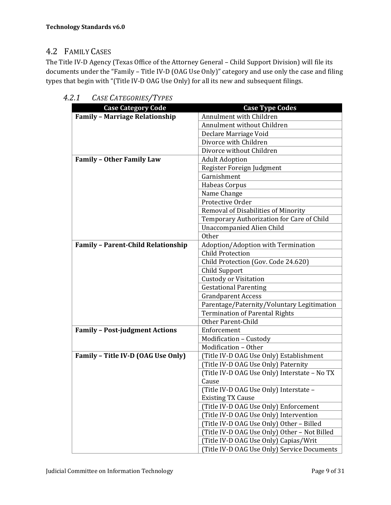## 4.2 FAMILY CASES

The Title IV-D Agency (Texas Office of the Attorney General – Child Support Division) will file its documents under the "Family – Title IV-D (OAG Use Only)" category and use only the case and filing types that begin with "(Title IV-D OAG Use Only) for all its new and subsequent filings.

| <b>Case Category Code</b>                 | <b>Case Type Codes</b>                       |
|-------------------------------------------|----------------------------------------------|
| <b>Family - Marriage Relationship</b>     | Annulment with Children                      |
|                                           | Annulment without Children                   |
|                                           | Declare Marriage Void                        |
|                                           | Divorce with Children                        |
|                                           | Divorce without Children                     |
| <b>Family - Other Family Law</b>          | <b>Adult Adoption</b>                        |
|                                           | Register Foreign Judgment                    |
|                                           | Garnishment                                  |
|                                           | Habeas Corpus                                |
|                                           | Name Change                                  |
|                                           | Protective Order                             |
|                                           | Removal of Disabilities of Minority          |
|                                           | Temporary Authorization for Care of Child    |
|                                           | <b>Unaccompanied Alien Child</b>             |
|                                           | <b>Other</b>                                 |
| <b>Family - Parent-Child Relationship</b> | Adoption/Adoption with Termination           |
|                                           | <b>Child Protection</b>                      |
|                                           | Child Protection (Gov. Code 24.620)          |
|                                           | Child Support                                |
|                                           | <b>Custody or Visitation</b>                 |
|                                           | <b>Gestational Parenting</b>                 |
|                                           | <b>Grandparent Access</b>                    |
|                                           | Parentage/Paternity/Voluntary Legitimation   |
|                                           | <b>Termination of Parental Rights</b>        |
|                                           | Other Parent-Child                           |
| <b>Family - Post-judgment Actions</b>     | Enforcement                                  |
|                                           | Modification - Custody                       |
|                                           | Modification - Other                         |
| Family - Title IV-D (OAG Use Only)        | (Title IV-D OAG Use Only) Establishment      |
|                                           | (Title IV-D OAG Use Only) Paternity          |
|                                           | (Title IV-D OAG Use Only) Interstate - No TX |
|                                           | Cause                                        |
|                                           | (Title IV-D OAG Use Only) Interstate -       |
|                                           | <b>Existing TX Cause</b>                     |
|                                           | (Title IV-D OAG Use Only) Enforcement        |
|                                           | (Title IV-D OAG Use Only) Intervention       |
|                                           | (Title IV-D OAG Use Only) Other - Billed     |
|                                           | (Title IV-D OAG Use Only) Other - Not Billed |
|                                           | (Title IV-D OAG Use Only) Capias/Writ        |
|                                           | (Title IV-D OAG Use Only) Service Documents  |

*4.2.1 CASE CATEGORIES/TYPES*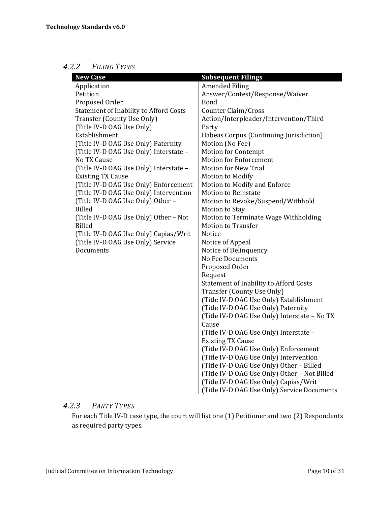### *4.2.2 FILING TYPES*

| <b>New Case</b>                               | <b>Subsequent Filings</b>                     |
|-----------------------------------------------|-----------------------------------------------|
| Application                                   | <b>Amended Filing</b>                         |
| Petition                                      | Answer/Contest/Response/Waiver                |
| Proposed Order                                | Bond                                          |
| <b>Statement of Inability to Afford Costs</b> | Counter Claim/Cross                           |
| Transfer (County Use Only)                    | Action/Interpleader/Intervention/Third        |
| (Title IV-D OAG Use Only)                     | Party                                         |
| Establishment                                 | Habeas Corpus (Continuing Jurisdiction)       |
| (Title IV-D OAG Use Only) Paternity           | Motion (No Fee)                               |
| (Title IV-D OAG Use Only) Interstate -        | <b>Motion for Contempt</b>                    |
| No TX Cause                                   | <b>Motion for Enforcement</b>                 |
| (Title IV-D OAG Use Only) Interstate -        | <b>Motion for New Trial</b>                   |
| <b>Existing TX Cause</b>                      | Motion to Modify                              |
| (Title IV-D OAG Use Only) Enforcement         | Motion to Modify and Enforce                  |
| (Title IV-D OAG Use Only) Intervention        | <b>Motion to Reinstate</b>                    |
| (Title IV-D OAG Use Only) Other -             | Motion to Revoke/Suspend/Withhold             |
| <b>Billed</b>                                 | Motion to Stay                                |
| (Title IV-D OAG Use Only) Other - Not         | Motion to Terminate Wage Withholding          |
| <b>Billed</b>                                 | <b>Motion to Transfer</b>                     |
| (Title IV-D OAG Use Only) Capias/Writ         | Notice                                        |
| (Title IV-D OAG Use Only) Service             | Notice of Appeal                              |
| Documents                                     | Notice of Delinquency                         |
|                                               | No Fee Documents                              |
|                                               | Proposed Order                                |
|                                               | Request                                       |
|                                               | <b>Statement of Inability to Afford Costs</b> |
|                                               | Transfer (County Use Only)                    |
|                                               | (Title IV-D OAG Use Only) Establishment       |
|                                               | (Title IV-D OAG Use Only) Paternity           |
|                                               | (Title IV-D OAG Use Only) Interstate - No TX  |
|                                               | Cause                                         |
|                                               | (Title IV-D OAG Use Only) Interstate -        |
|                                               | <b>Existing TX Cause</b>                      |
|                                               | (Title IV-D OAG Use Only) Enforcement         |
|                                               | (Title IV-D OAG Use Only) Intervention        |
|                                               | (Title IV-D OAG Use Only) Other - Billed      |
|                                               | (Title IV-D OAG Use Only) Other - Not Billed  |
|                                               | (Title IV-D OAG Use Only) Capias/Writ         |
|                                               | (Title IV-D OAG Use Only) Service Documents   |

## *4.2.3 PARTY TYPES*

For each Title IV-D case type, the court will list one (1) Petitioner and two (2) Respondents as required party types.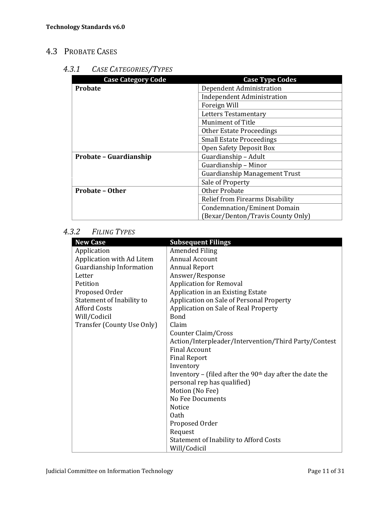## 4.3 PROBATE CASES

## *4.3.1 CASE CATEGORIES/TYPES*

| <b>Case Category Code</b> | <b>Case Type Codes</b>               |
|---------------------------|--------------------------------------|
| <b>Probate</b>            | Dependent Administration             |
|                           | <b>Independent Administration</b>    |
|                           | Foreign Will                         |
|                           | <b>Letters Testamentary</b>          |
|                           | <b>Muniment of Title</b>             |
|                           | Other Estate Proceedings             |
|                           | <b>Small Estate Proceedings</b>      |
|                           | Open Safety Deposit Box              |
| Probate - Guardianship    | Guardianship - Adult                 |
|                           | Guardianship - Minor                 |
|                           | <b>Guardianship Management Trust</b> |
|                           | Sale of Property                     |
| <b>Probate - Other</b>    | <b>Other Probate</b>                 |
|                           | Relief from Firearms Disability      |
|                           | <b>Condemnation/Eminent Domain</b>   |
|                           | (Bexar/Denton/Travis County Only)    |

## *4.3.2 FILING TYPES*

| <b>New Case</b>            | <b>Subsequent Filings</b>                                  |
|----------------------------|------------------------------------------------------------|
| Application                | <b>Amended Filing</b>                                      |
| Application with Ad Litem  | <b>Annual Account</b>                                      |
| Guardianship Information   | <b>Annual Report</b>                                       |
| Letter                     | Answer/Response                                            |
| Petition                   | <b>Application for Removal</b>                             |
| Proposed Order             | Application in an Existing Estate                          |
| Statement of Inability to  | Application on Sale of Personal Property                   |
| <b>Afford Costs</b>        | Application on Sale of Real Property                       |
| Will/Codicil               | <b>Bond</b>                                                |
| Transfer (County Use Only) | Claim                                                      |
|                            | Counter Claim/Cross                                        |
|                            | Action/Interpleader/Intervention/Third Party/Contest       |
|                            | <b>Final Account</b>                                       |
|                            | <b>Final Report</b>                                        |
|                            | Inventory                                                  |
|                            | Inventory – (filed after the $90th$ day after the date the |
|                            | personal rep has qualified)                                |
|                            | Motion (No Fee)                                            |
|                            | No Fee Documents                                           |
|                            | <b>Notice</b>                                              |
|                            | 0ath                                                       |
|                            | Proposed Order                                             |
|                            | Request                                                    |
|                            | Statement of Inability to Afford Costs                     |
|                            | Will/Codicil                                               |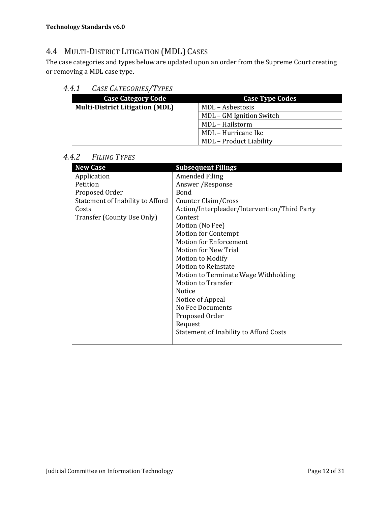## 4.4 MULTI-DISTRICT LITIGATION (MDL) CASES

The case categories and types below are updated upon an order from the Supreme Court creating or removing a MDL case type.

### *4.4.1 CASE CATEGORIES/TYPES*

| <b>Case Category Code</b>              | <b>Case Type Codes</b>         |
|----------------------------------------|--------------------------------|
| <b>Multi-District Litigation (MDL)</b> | MDL - Asbestosis               |
|                                        | MDL – GM Ignition Switch       |
|                                        | MDL - Hailstorm                |
|                                        | MDL – Hurricane Ike            |
|                                        | <b>MDL</b> - Product Liability |

#### *4.4.2 FILING TYPES*

| <b>New Case</b>                  | <b>Subsequent Filings</b>                    |
|----------------------------------|----------------------------------------------|
| Application                      | Amended Filing                               |
| Petition                         | Answer / Response                            |
| Proposed Order                   | Bond                                         |
| Statement of Inability to Afford | Counter Claim/Cross                          |
| Costs                            | Action/Interpleader/Intervention/Third Party |
| Transfer (County Use Only)       | Contest                                      |
|                                  | Motion (No Fee)                              |
|                                  | <b>Motion for Contempt</b>                   |
|                                  | <b>Motion for Enforcement</b>                |
|                                  | <b>Motion for New Trial</b>                  |
|                                  | Motion to Modify                             |
|                                  | <b>Motion to Reinstate</b>                   |
|                                  | Motion to Terminate Wage Withholding         |
|                                  | <b>Motion to Transfer</b>                    |
|                                  | Notice                                       |
|                                  | Notice of Appeal                             |
|                                  | No Fee Documents                             |
|                                  | Proposed Order                               |
|                                  | Request                                      |
|                                  | Statement of Inability to Afford Costs       |
|                                  |                                              |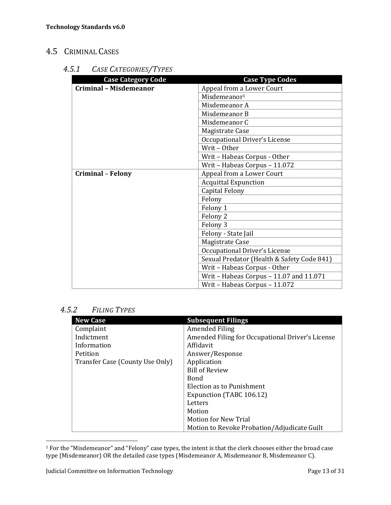## 4.5 CRIMINAL CASES

### *4.5.1 CASE CATEGORIES/TYPES*

| <b>Case Category Code</b>     | <b>Case Type Codes</b>                     |
|-------------------------------|--------------------------------------------|
| <b>Criminal - Misdemeanor</b> | Appeal from a Lower Court                  |
|                               | Misdemeanor <sup>1</sup>                   |
|                               | Misdemeanor A                              |
|                               | Misdemeanor B                              |
|                               | Misdemeanor C                              |
|                               | Magistrate Case                            |
|                               | Occupational Driver's License              |
|                               | Writ-Other                                 |
|                               | Writ - Habeas Corpus - Other               |
|                               | Writ - Habeas Corpus - 11.072              |
| <b>Criminal - Felony</b>      | Appeal from a Lower Court                  |
|                               | <b>Acquittal Expunction</b>                |
|                               | Capital Felony                             |
|                               | Felony                                     |
|                               | Felony 1                                   |
|                               | Felony 2                                   |
|                               | Felony 3                                   |
|                               | Felony - State Jail                        |
|                               | Magistrate Case                            |
|                               | Occupational Driver's License              |
|                               | Sexual Predator (Health & Safety Code 841) |
|                               | Writ - Habeas Corpus - Other               |
|                               | Writ - Habeas Corpus - 11.07 and 11.071    |
|                               | Writ - Habeas Corpus - 11.072              |

## *4.5.2 FILING TYPES*

| <b>New Case</b>                 | <b>Subsequent Filings</b>                        |
|---------------------------------|--------------------------------------------------|
| Complaint                       | Amended Filing                                   |
| Indictment                      | Amended Filing for Occupational Driver's License |
| Information                     | Affidavit                                        |
| Petition                        | Answer/Response                                  |
| Transfer Case (County Use Only) | Application                                      |
|                                 | <b>Bill of Review</b>                            |
|                                 | <b>Bond</b>                                      |
|                                 | Election as to Punishment                        |
|                                 | Expunction (TABC 106.12)                         |
|                                 | Letters                                          |
|                                 | Motion                                           |
|                                 | <b>Motion for New Trial</b>                      |
|                                 | Motion to Revoke Probation/Adjudicate Guilt      |

 $^1$  For the "Misdemeanor" and "Felony" case types, the intent is that the clerk chooses either the broad case type (Misdemeanor) OR the detailed case types (Misdemeanor A, Misdemeanor B, Misdemeanor C).

 $\overline{a}$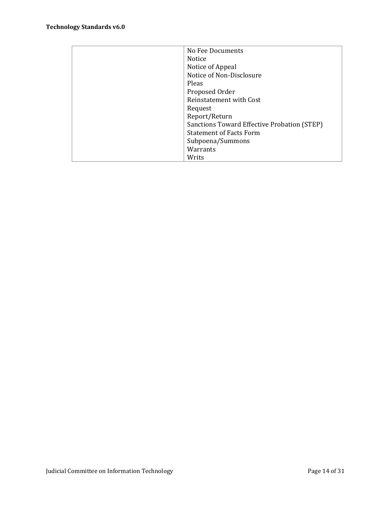| No Fee Documents                            |
|---------------------------------------------|
| Notice                                      |
| Notice of Appeal                            |
| Notice of Non-Disclosure                    |
| Pleas                                       |
| Proposed Order                              |
| <b>Reinstatement with Cost</b>              |
| Request                                     |
| Report/Return                               |
| Sanctions Toward Effective Probation (STEP) |
| <b>Statement of Facts Form</b>              |
| Subpoena/Summons                            |
| Warrants                                    |
| Writs                                       |
|                                             |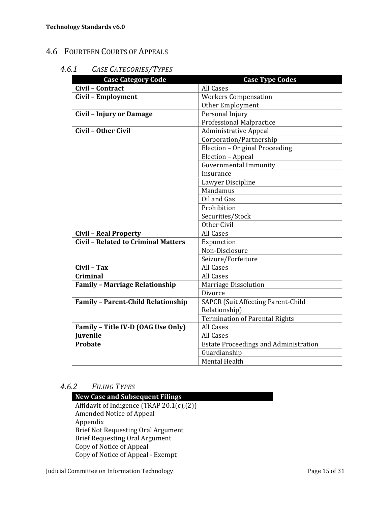## 4.6 FOURTEEN COURTS OF APPEALS

## *4.6.1 CASE CATEGORIES/TYPES*

| <b>Case Category Code</b>                  | <b>Case Type Codes</b>                       |
|--------------------------------------------|----------------------------------------------|
| Civil - Contract                           | <b>All Cases</b>                             |
| Civil - Employment                         | <b>Workers Compensation</b>                  |
|                                            | Other Employment                             |
| <b>Civil - Injury or Damage</b>            | Personal Injury                              |
|                                            | <b>Professional Malpractice</b>              |
| Civil - Other Civil                        | <b>Administrative Appeal</b>                 |
|                                            | Corporation/Partnership                      |
|                                            | Election - Original Proceeding               |
|                                            | Election - Appeal                            |
|                                            | <b>Governmental Immunity</b>                 |
|                                            | Insurance                                    |
|                                            | Lawyer Discipline                            |
|                                            | Mandamus                                     |
|                                            | Oil and Gas                                  |
|                                            | Prohibition                                  |
|                                            | Securities/Stock                             |
|                                            | Other Civil                                  |
| <b>Civil - Real Property</b>               | <b>All Cases</b>                             |
| <b>Civil - Related to Criminal Matters</b> | Expunction                                   |
|                                            | Non-Disclosure                               |
|                                            | Seizure/Forfeiture                           |
| Civil - Tax                                | <b>All Cases</b>                             |
| Criminal                                   | <b>All Cases</b>                             |
| <b>Family - Marriage Relationship</b>      | <b>Marriage Dissolution</b>                  |
|                                            | <b>Divorce</b>                               |
| <b>Family - Parent-Child Relationship</b>  | <b>SAPCR (Suit Affecting Parent-Child</b>    |
|                                            | Relationship)                                |
|                                            | <b>Termination of Parental Rights</b>        |
| Family - Title IV-D (OAG Use Only)         | <b>All Cases</b>                             |
| <b>Iuvenile</b>                            | All Cases                                    |
| <b>Probate</b>                             | <b>Estate Proceedings and Administration</b> |
|                                            | Guardianship                                 |
|                                            | <b>Mental Health</b>                         |

### *4.6.2 FILING TYPES*

| <b>New Case and Subsequent Filings</b>    |
|-------------------------------------------|
| Affidavit of Indigence (TRAP 20.1(c),(2)) |
| Amended Notice of Appeal                  |
| Appendix                                  |
| <b>Brief Not Requesting Oral Argument</b> |
| <b>Brief Requesting Oral Argument</b>     |
| Copy of Notice of Appeal                  |
| Copy of Notice of Appeal - Exempt         |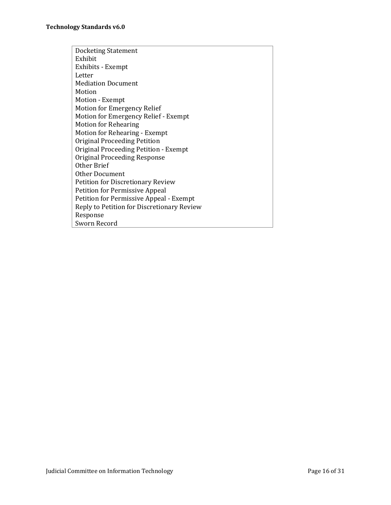| Docketing Statement                        |
|--------------------------------------------|
| Exhibit                                    |
| Exhibits - Exempt                          |
| Letter                                     |
| <b>Mediation Document</b>                  |
| Motion                                     |
| Motion - Exempt                            |
| <b>Motion for Emergency Relief</b>         |
| Motion for Emergency Relief - Exempt       |
| <b>Motion for Rehearing</b>                |
| Motion for Rehearing - Exempt              |
| Original Proceeding Petition               |
| Original Proceeding Petition - Exempt      |
| Original Proceeding Response               |
| Other Brief                                |
| Other Document                             |
| Petition for Discretionary Review          |
| <b>Petition for Permissive Appeal</b>      |
| Petition for Permissive Appeal - Exempt    |
| Reply to Petition for Discretionary Review |
| Response                                   |
| Sworn Record                               |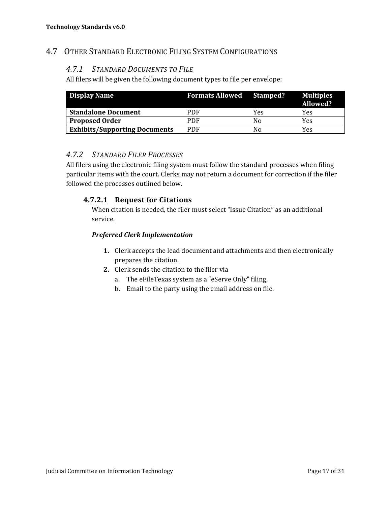## 4.7 OTHER STANDARD ELECTRONIC FILING SYSTEM CONFIGURATIONS

#### *4.7.1 STANDARD DOCUMENTS TO FILE*

All filers will be given the following document types to file per envelope:

| <b>Display Name</b>                  | <b>Formats Allowed Stamped?</b> |     | <b>Multiples</b><br>Allowed? |
|--------------------------------------|---------------------------------|-----|------------------------------|
| <b>Standalone Document</b>           | PDF                             | Yes | Yes                          |
| <b>Proposed Order</b>                | PDF                             | Nο  | Yes                          |
| <b>Exhibits/Supporting Documents</b> | PDF                             | Nο  | Yes                          |

#### *4.7.2 STANDARD FILER PROCESSES*

All filers using the electronic filing system must follow the standard processes when filing particular items with the court. Clerks may not return a document for correction if the filer followed the processes outlined below.

#### **4.7.2.1 Request for Citations**

When citation is needed, the filer must select "Issue Citation" as an additional service.

#### *Preferred Clerk Implementation*

- **1.** Clerk accepts the lead document and attachments and then electronically prepares the citation.
- **2.** Clerk sends the citation to the filer via
	- a. The eFileTexas system as a "eServe Only" filing,
	- b. Email to the party using the email address on file.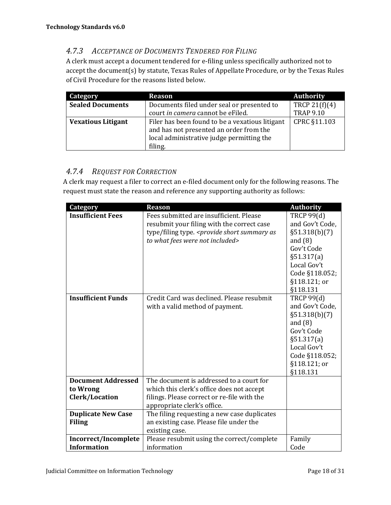## *4.7.3 ACCEPTANCE OF DOCUMENTS TENDERED FOR FILING*

A clerk must accept a document tendered for e-filing unless specifically authorized not to accept the document(s) by statute, Texas Rules of Appellate Procedure, or by the Texas Rules of Civil Procedure for the reasons listed below.

| Category                  | <b>Reason</b>                                   | <b>Authority</b> |
|---------------------------|-------------------------------------------------|------------------|
| <b>Sealed Documents</b>   | Documents filed under seal or presented to      | TRCP $21(f)(4)$  |
|                           | court in camera cannot be eFiled.               | <b>TRAP 9.10</b> |
| <b>Vexatious Litigant</b> | Filer has been found to be a vexatious litigant | CPRC §11.103     |
|                           | and has not presented an order from the         |                  |
|                           | local administrative judge permitting the       |                  |
|                           | filing.                                         |                  |

## *4.7.4 REQUEST FOR CORRECTION*

A clerk may request a filer to correct an e-filed document only for the following reasons. The request must state the reason and reference any supporting authority as follows:

| Category                  | <b>Reason</b>                                                                                | <b>Authority</b>  |
|---------------------------|----------------------------------------------------------------------------------------------|-------------------|
| <b>Insufficient Fees</b>  | Fees submitted are insufficient. Please                                                      | <b>TRCP 99(d)</b> |
|                           | resubmit your filing with the correct case                                                   | and Gov't Code,   |
|                           | type/filing type. <provide as<="" short="" summary="" th=""><th>§51.318(b)(7)</th></provide> | §51.318(b)(7)     |
|                           | to what fees were not included>                                                              | and $(8)$         |
|                           |                                                                                              | Gov't Code        |
|                           |                                                                                              | §51.317(a)        |
|                           |                                                                                              | Local Gov't       |
|                           |                                                                                              | Code §118.052;    |
|                           |                                                                                              | §118.121; or      |
|                           |                                                                                              | §118.131          |
| <b>Insufficient Funds</b> | Credit Card was declined. Please resubmit                                                    | <b>TRCP 99(d)</b> |
|                           | with a valid method of payment.                                                              | and Gov't Code,   |
|                           |                                                                                              | §51.318(b)(7)     |
|                           |                                                                                              | and $(8)$         |
|                           |                                                                                              | Gov't Code        |
|                           |                                                                                              | §51.317(a)        |
|                           |                                                                                              | Local Gov't       |
|                           |                                                                                              | Code §118.052;    |
|                           |                                                                                              | §118.121; or      |
|                           |                                                                                              | §118.131          |
| <b>Document Addressed</b> | The document is addressed to a court for                                                     |                   |
| to Wrong                  | which this clerk's office does not accept                                                    |                   |
| Clerk/Location            | filings. Please correct or re-file with the                                                  |                   |
|                           | appropriate clerk's office.                                                                  |                   |
| <b>Duplicate New Case</b> | The filing requesting a new case duplicates                                                  |                   |
| <b>Filing</b>             | an existing case. Please file under the                                                      |                   |
|                           | existing case.                                                                               |                   |
| Incorrect/Incomplete      | Please resubmit using the correct/complete                                                   | Family            |
| <b>Information</b>        | information                                                                                  | Code              |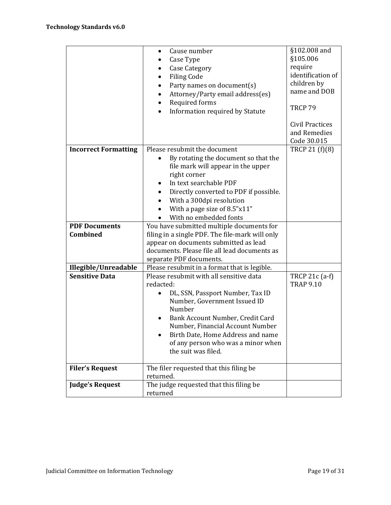|                                  | Cause number<br>$\bullet$<br>Case Type<br>٠<br>Case Category<br>٠<br><b>Filing Code</b><br>$\bullet$<br>Party names on document(s)<br>$\bullet$<br>Attorney/Party email address(es)<br>$\bullet$<br>Required forms<br>$\bullet$<br>Information required by Statute<br>$\bullet$                                                             | §102.008 and<br>§105.006<br>require<br>identification of<br>children by<br>name and DOB<br>TRCP 79 |
|----------------------------------|---------------------------------------------------------------------------------------------------------------------------------------------------------------------------------------------------------------------------------------------------------------------------------------------------------------------------------------------|----------------------------------------------------------------------------------------------------|
|                                  |                                                                                                                                                                                                                                                                                                                                             | Civil Practices<br>and Remedies<br>Code 30.015                                                     |
| <b>Incorrect Formatting</b>      | Please resubmit the document<br>By rotating the document so that the<br>$\bullet$<br>file mark will appear in the upper<br>right corner<br>In text searchable PDF<br>$\bullet$<br>Directly converted to PDF if possible.<br>$\bullet$<br>With a 300dpi resolution<br>$\bullet$<br>With a page size of 8.5"x11"<br>With no embedded fonts    | TRCP 21 (f)(8)                                                                                     |
| <b>PDF Documents</b><br>Combined | You have submitted multiple documents for<br>filing in a single PDF. The file-mark will only<br>appear on documents submitted as lead<br>documents. Please file all lead documents as<br>separate PDF documents.                                                                                                                            |                                                                                                    |
| Illegible/Unreadable             | Please resubmit in a format that is legible.                                                                                                                                                                                                                                                                                                |                                                                                                    |
| <b>Sensitive Data</b>            | Please resubmit with all sensitive data<br>redacted:<br>DL, SSN, Passport Number, Tax ID<br>$\bullet$<br>Number, Government Issued ID<br>Number<br>Bank Account Number, Credit Card<br>٠<br>Number, Financial Account Number<br>Birth Date, Home Address and name<br>$\bullet$<br>of any person who was a minor when<br>the suit was filed. | TRCP 21c (a-f)<br><b>TRAP 9.10</b>                                                                 |
| <b>Filer's Request</b>           | The filer requested that this filing be                                                                                                                                                                                                                                                                                                     |                                                                                                    |
|                                  | returned.                                                                                                                                                                                                                                                                                                                                   |                                                                                                    |
| <b>Judge's Request</b>           | The judge requested that this filing be<br>returned                                                                                                                                                                                                                                                                                         |                                                                                                    |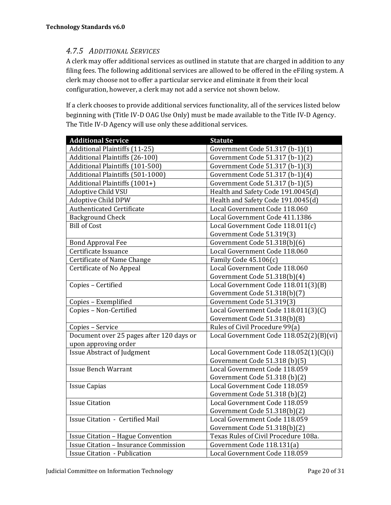## *4.7.5 ADDITIONAL SERVICES*

A clerk may offer additional services as outlined in statute that are charged in addition to any filing fees. The following additional services are allowed to be offered in the eFiling system. A clerk may choose not to offer a particular service and eliminate it from their local configuration, however, a clerk may not add a service not shown below.

If a clerk chooses to provide additional services functionality, all of the services listed below beginning with (Title IV-D OAG Use Only) must be made available to the Title IV-D Agency. The Title IV-D Agency will use only these additional services.

| <b>Additional Service</b>                    | <b>Statute</b>                          |
|----------------------------------------------|-----------------------------------------|
| <b>Additional Plaintiffs (11-25)</b>         | Government Code 51.317 (b-1)(1)         |
| Additional Plaintiffs (26-100)               | Government Code 51.317 (b-1)(2)         |
| Additional Plaintiffs (101-500)              | Government Code 51.317 (b-1)(3)         |
| Additional Plaintiffs (501-1000)             | Government Code 51.317 (b-1)(4)         |
| Additional Plaintiffs (1001+)                | Government Code 51.317 (b-1)(5)         |
| <b>Adoptive Child VSU</b>                    | Health and Safety Code 191.0045(d)      |
| <b>Adoptive Child DPW</b>                    | Health and Safety Code 191.0045(d)      |
| <b>Authenticated Certificate</b>             | Local Government Code 118.060           |
| <b>Background Check</b>                      | Local Government Code 411.1386          |
| <b>Bill of Cost</b>                          | Local Government Code 118.011(c)        |
|                                              | Government Code 51.319(3)               |
| <b>Bond Approval Fee</b>                     | Government Code 51.318(b)(6)            |
| Certificate Issuance                         | Local Government Code 118.060           |
| Certificate of Name Change                   | Family Code 45.106(c)                   |
| Certificate of No Appeal                     | Local Government Code 118.060           |
|                                              | Government Code 51.318(b)(4)            |
| Copies - Certified                           | Local Government Code 118.011(3)(B)     |
|                                              | Government Code 51.318(b)(7)            |
| Copies - Exemplified                         | Government Code 51.319(3)               |
| Copies - Non-Certified                       | Local Government Code 118.011(3)(C)     |
|                                              | Government Code 51.318(b)(8)            |
| Copies - Service                             | Rules of Civil Procedure 99(a)          |
| Document over 25 pages after 120 days or     | Local Government Code 118.052(2)(B)(vi) |
| upon approving order                         |                                         |
| <b>Issue Abstract of Judgment</b>            | Local Government Code 118.052(1)(C)(i)  |
|                                              | Government Code 51.318 (b)(5)           |
| <b>Issue Bench Warrant</b>                   | Local Government Code 118.059           |
|                                              | Government Code 51.318 (b)(2)           |
| <b>Issue Capias</b>                          | Local Government Code 118.059           |
|                                              | Government Code 51.318 (b)(2)           |
| <b>Issue Citation</b>                        | Local Government Code 118.059           |
|                                              | Government Code 51.318(b)(2)            |
| <b>Issue Citation - Certified Mail</b>       | Local Government Code 118.059           |
|                                              | Government Code 51.318(b)(2)            |
| <b>Issue Citation - Hague Convention</b>     | Texas Rules of Civil Procedure 108a.    |
| <b>Issue Citation - Insurance Commission</b> | Government Code 118.131(a)              |
| <b>Issue Citation - Publication</b>          | Local Government Code 118.059           |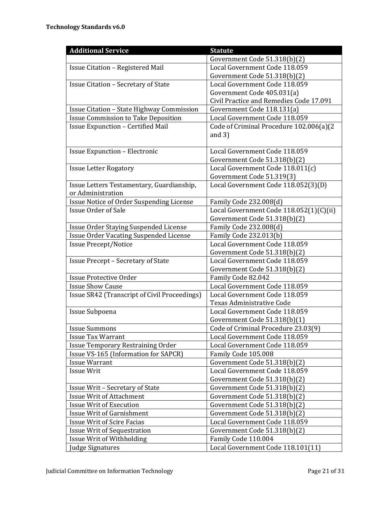| <b>Additional Service</b>                                                                                                                                                                                                                                                                                                                                 | <b>Statute</b>                                                                                                                                                                                                                                                                                                                                                                    |
|-----------------------------------------------------------------------------------------------------------------------------------------------------------------------------------------------------------------------------------------------------------------------------------------------------------------------------------------------------------|-----------------------------------------------------------------------------------------------------------------------------------------------------------------------------------------------------------------------------------------------------------------------------------------------------------------------------------------------------------------------------------|
|                                                                                                                                                                                                                                                                                                                                                           | Government Code 51.318(b)(2)                                                                                                                                                                                                                                                                                                                                                      |
| Issue Citation - Registered Mail                                                                                                                                                                                                                                                                                                                          | Local Government Code 118.059                                                                                                                                                                                                                                                                                                                                                     |
|                                                                                                                                                                                                                                                                                                                                                           | Government Code 51.318(b)(2)                                                                                                                                                                                                                                                                                                                                                      |
| <b>Issue Citation - Secretary of State</b>                                                                                                                                                                                                                                                                                                                | Local Government Code 118.059                                                                                                                                                                                                                                                                                                                                                     |
|                                                                                                                                                                                                                                                                                                                                                           | Government Code 405.031(a)                                                                                                                                                                                                                                                                                                                                                        |
|                                                                                                                                                                                                                                                                                                                                                           | Civil Practice and Remedies Code 17.091                                                                                                                                                                                                                                                                                                                                           |
| Issue Citation - State Highway Commission                                                                                                                                                                                                                                                                                                                 | Government Code 118.131(a)                                                                                                                                                                                                                                                                                                                                                        |
| <b>Issue Commission to Take Deposition</b>                                                                                                                                                                                                                                                                                                                | Local Government Code 118.059                                                                                                                                                                                                                                                                                                                                                     |
| <b>Issue Expunction - Certified Mail</b>                                                                                                                                                                                                                                                                                                                  | Code of Criminal Procedure 102.006(a)(2                                                                                                                                                                                                                                                                                                                                           |
|                                                                                                                                                                                                                                                                                                                                                           | and $3)$                                                                                                                                                                                                                                                                                                                                                                          |
|                                                                                                                                                                                                                                                                                                                                                           |                                                                                                                                                                                                                                                                                                                                                                                   |
| <b>Issue Expunction - Electronic</b>                                                                                                                                                                                                                                                                                                                      | Local Government Code 118.059                                                                                                                                                                                                                                                                                                                                                     |
|                                                                                                                                                                                                                                                                                                                                                           | Government Code 51.318(b)(2)                                                                                                                                                                                                                                                                                                                                                      |
| <b>Issue Letter Rogatory</b>                                                                                                                                                                                                                                                                                                                              | Local Government Code 118.011(c)                                                                                                                                                                                                                                                                                                                                                  |
|                                                                                                                                                                                                                                                                                                                                                           | Government Code 51.319(3)                                                                                                                                                                                                                                                                                                                                                         |
| Issue Letters Testamentary, Guardianship,                                                                                                                                                                                                                                                                                                                 | Local Government Code 118.052(3)(D)                                                                                                                                                                                                                                                                                                                                               |
| or Administration                                                                                                                                                                                                                                                                                                                                         |                                                                                                                                                                                                                                                                                                                                                                                   |
| Issue Notice of Order Suspending License                                                                                                                                                                                                                                                                                                                  | Family Code 232.008(d)                                                                                                                                                                                                                                                                                                                                                            |
| <b>Issue Order of Sale</b>                                                                                                                                                                                                                                                                                                                                | Local Government Code 118.052(1)(C)(ii)                                                                                                                                                                                                                                                                                                                                           |
|                                                                                                                                                                                                                                                                                                                                                           | Government Code 51.318(b)(2)                                                                                                                                                                                                                                                                                                                                                      |
| Issue Order Staying Suspended License                                                                                                                                                                                                                                                                                                                     | Family Code 232.008(d)                                                                                                                                                                                                                                                                                                                                                            |
| <b>Issue Order Vacating Suspended License</b>                                                                                                                                                                                                                                                                                                             | Family Code 232.013(b)                                                                                                                                                                                                                                                                                                                                                            |
| <b>Issue Precept/Notice</b>                                                                                                                                                                                                                                                                                                                               | Local Government Code 118.059                                                                                                                                                                                                                                                                                                                                                     |
|                                                                                                                                                                                                                                                                                                                                                           | Government Code 51.318(b)(2)                                                                                                                                                                                                                                                                                                                                                      |
| <b>Issue Precept - Secretary of State</b>                                                                                                                                                                                                                                                                                                                 | Local Government Code 118.059                                                                                                                                                                                                                                                                                                                                                     |
|                                                                                                                                                                                                                                                                                                                                                           | Government Code 51.318(b)(2)                                                                                                                                                                                                                                                                                                                                                      |
| <b>Issue Protective Order</b>                                                                                                                                                                                                                                                                                                                             | Family Code 82.042                                                                                                                                                                                                                                                                                                                                                                |
| <b>Issue Show Cause</b>                                                                                                                                                                                                                                                                                                                                   | Local Government Code 118.059                                                                                                                                                                                                                                                                                                                                                     |
| Issue SR42 (Transcript of Civil Proceedings)                                                                                                                                                                                                                                                                                                              | Local Government Code 118.059                                                                                                                                                                                                                                                                                                                                                     |
|                                                                                                                                                                                                                                                                                                                                                           | Texas Administrative Code                                                                                                                                                                                                                                                                                                                                                         |
| Issue Subpoena                                                                                                                                                                                                                                                                                                                                            | Local Government Code 118.059                                                                                                                                                                                                                                                                                                                                                     |
| <b>Issue Summons</b>                                                                                                                                                                                                                                                                                                                                      | Government Code 51.318(b)(1)                                                                                                                                                                                                                                                                                                                                                      |
| <b>Issue Tax Warrant</b>                                                                                                                                                                                                                                                                                                                                  | Code of Criminal Procedure 23.03(9)<br>Local Government Code 118.059                                                                                                                                                                                                                                                                                                              |
|                                                                                                                                                                                                                                                                                                                                                           | Local Government Code 118.059                                                                                                                                                                                                                                                                                                                                                     |
| <b>Issue Temporary Restraining Order</b>                                                                                                                                                                                                                                                                                                                  |                                                                                                                                                                                                                                                                                                                                                                                   |
|                                                                                                                                                                                                                                                                                                                                                           |                                                                                                                                                                                                                                                                                                                                                                                   |
|                                                                                                                                                                                                                                                                                                                                                           |                                                                                                                                                                                                                                                                                                                                                                                   |
|                                                                                                                                                                                                                                                                                                                                                           |                                                                                                                                                                                                                                                                                                                                                                                   |
|                                                                                                                                                                                                                                                                                                                                                           |                                                                                                                                                                                                                                                                                                                                                                                   |
|                                                                                                                                                                                                                                                                                                                                                           |                                                                                                                                                                                                                                                                                                                                                                                   |
|                                                                                                                                                                                                                                                                                                                                                           |                                                                                                                                                                                                                                                                                                                                                                                   |
|                                                                                                                                                                                                                                                                                                                                                           |                                                                                                                                                                                                                                                                                                                                                                                   |
|                                                                                                                                                                                                                                                                                                                                                           |                                                                                                                                                                                                                                                                                                                                                                                   |
|                                                                                                                                                                                                                                                                                                                                                           |                                                                                                                                                                                                                                                                                                                                                                                   |
|                                                                                                                                                                                                                                                                                                                                                           |                                                                                                                                                                                                                                                                                                                                                                                   |
|                                                                                                                                                                                                                                                                                                                                                           |                                                                                                                                                                                                                                                                                                                                                                                   |
| Issue VS-165 (Information for SAPCR)<br><b>Issue Warrant</b><br><b>Issue Writ</b><br>Issue Writ - Secretary of State<br><b>Issue Writ of Attachment</b><br><b>Issue Writ of Execution</b><br><b>Issue Writ of Garnishment</b><br><b>Issue Writ of Scire Facias</b><br><b>Issue Writ of Sequestration</b><br>Issue Writ of Withholding<br>Judge Signatures | Family Code 105.008<br>Government Code 51.318(b)(2)<br>Local Government Code 118.059<br>Government Code 51.318(b)(2)<br>Government Code 51.318(b)(2)<br>Government Code 51.318(b)(2)<br>Government Code 51.318(b)(2)<br>Government Code 51.318(b)(2)<br>Local Government Code 118.059<br>Government Code 51.318(b)(2)<br>Family Code 110.004<br>Local Government Code 118.101(11) |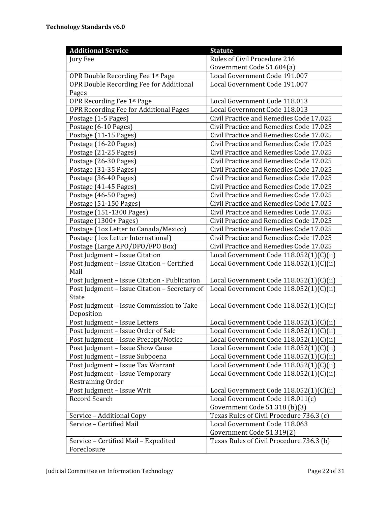| <b>Additional Service</b>                     | <b>Statute</b>                           |
|-----------------------------------------------|------------------------------------------|
| Jury Fee                                      | Rules of Civil Procedure 216             |
|                                               | Government Code 51.604(a)                |
| OPR Double Recording Fee 1st Page             | Local Government Code 191.007            |
| OPR Double Recording Fee for Additional       | Local Government Code 191.007            |
| Pages                                         |                                          |
| OPR Recording Fee 1st Page                    | Local Government Code 118.013            |
| OPR Recording Fee for Additional Pages        | Local Government Code 118.013            |
| Postage (1-5 Pages)                           | Civil Practice and Remedies Code 17.025  |
| Postage (6-10 Pages)                          | Civil Practice and Remedies Code 17.025  |
| Postage (11-15 Pages)                         | Civil Practice and Remedies Code 17.025  |
| Postage (16-20 Pages)                         | Civil Practice and Remedies Code 17.025  |
| Postage (21-25 Pages)                         | Civil Practice and Remedies Code 17.025  |
| Postage (26-30 Pages)                         | Civil Practice and Remedies Code 17.025  |
| Postage (31-35 Pages)                         | Civil Practice and Remedies Code 17.025  |
| Postage (36-40 Pages)                         | Civil Practice and Remedies Code 17.025  |
| Postage (41-45 Pages)                         | Civil Practice and Remedies Code 17.025  |
| Postage (46-50 Pages)                         | Civil Practice and Remedies Code 17.025  |
| Postage (51-150 Pages)                        | Civil Practice and Remedies Code 17.025  |
| Postage (151-1300 Pages)                      | Civil Practice and Remedies Code 17.025  |
| Postage (1300+ Pages)                         | Civil Practice and Remedies Code 17.025  |
| Postage (1oz Letter to Canada/Mexico)         | Civil Practice and Remedies Code 17.025  |
| Postage (1oz Letter International)            | Civil Practice and Remedies Code 17.025  |
| Postage (Large APO/DPO/FPO Box)               | Civil Practice and Remedies Code 17.025  |
| Post Judgment - Issue Citation                | Local Government Code 118.052(1)(C)(ii)  |
| Post Judgment - Issue Citation - Certified    | Local Government Code 118.052(1)(C)(ii)  |
| Mail                                          |                                          |
| Post Judgment - Issue Citation - Publication  | Local Government Code 118.052(1)(C)(ii)  |
| Post Judgment - Issue Citation - Secretary of | Local Government Code 118.052(1)(C)(ii)  |
| <b>State</b>                                  |                                          |
| Post Judgment - Issue Commission to Take      | Local Government Code 118.052(1)(C)(ii)  |
| Deposition                                    |                                          |
| Post Judgment - Issue Letters                 | Local Government Code 118.052(1)(C)(ii)  |
| Post Judgment - Issue Order of Sale           | Local Government Code 118.052(1)(C)(ii)  |
| Post Judgment - Issue Precept/Notice          | Local Government Code 118.052(1)(C)(ii)  |
| Post Judgment - Issue Show Cause              | Local Government Code 118.052(1)(C)(ii)  |
| Post Judgment - Issue Subpoena                | Local Government Code 118.052(1)(C)(ii)  |
| Post Judgment - Issue Tax Warrant             | Local Government Code 118.052(1)(C)(ii)  |
| Post Judgment - Issue Temporary               | Local Government Code 118.052(1)(C)(ii)  |
| Restraining Order                             |                                          |
| Post Judgment - Issue Writ                    | Local Government Code 118.052(1)(C)(ii)  |
| Record Search                                 | Local Government Code 118.011(c)         |
|                                               | Government Code 51.318 (b)(3)            |
| Service - Additional Copy                     | Texas Rules of Civil Procedure 736.3 (c) |
| Service - Certified Mail                      | Local Government Code 118.063            |
|                                               | Government Code 51.319(2)                |
| Service - Certified Mail - Expedited          | Texas Rules of Civil Procedure 736.3 (b) |
| Foreclosure                                   |                                          |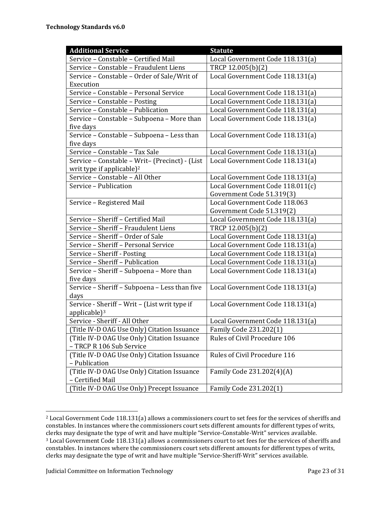| <b>Additional Service</b>                      | <b>Statute</b>                   |
|------------------------------------------------|----------------------------------|
| Service - Constable - Certified Mail           | Local Government Code 118.131(a) |
| Service - Constable - Fraudulent Liens         | TRCP 12.005(b)(2)                |
| Service - Constable - Order of Sale/Writ of    | Local Government Code 118.131(a) |
| Execution                                      |                                  |
| Service - Constable - Personal Service         | Local Government Code 118.131(a) |
| Service - Constable - Posting                  | Local Government Code 118.131(a) |
| Service - Constable - Publication              | Local Government Code 118.131(a) |
| Service - Constable - Subpoena - More than     | Local Government Code 118.131(a) |
| five days                                      |                                  |
| Service - Constable - Subpoena - Less than     | Local Government Code 118.131(a) |
| five days                                      |                                  |
| Service - Constable - Tax Sale                 | Local Government Code 118.131(a) |
| Service - Constable - Writ- (Precinct) - (List | Local Government Code 118.131(a) |
| writ type if applicable) <sup>2</sup>          |                                  |
| Service - Constable - All Other                | Local Government Code 118.131(a) |
| Service - Publication                          | Local Government Code 118.011(c) |
|                                                | Government Code 51.319(3)        |
| Service - Registered Mail                      | Local Government Code 118.063    |
|                                                | Government Code 51.319(2)        |
| Service - Sheriff - Certified Mail             | Local Government Code 118.131(a) |
| Service - Sheriff - Fraudulent Liens           | TRCP 12.005(b)(2)                |
| Service - Sheriff - Order of Sale              | Local Government Code 118.131(a) |
| Service - Sheriff - Personal Service           | Local Government Code 118.131(a) |
| Service - Sheriff - Posting                    | Local Government Code 118.131(a) |
| Service - Sheriff - Publication                | Local Government Code 118.131(a) |
| Service - Sheriff - Subpoena - More than       | Local Government Code 118.131(a) |
| five days                                      |                                  |
| Service - Sheriff - Subpoena - Less than five  | Local Government Code 118.131(a) |
| days                                           |                                  |
| Service - Sheriff - Writ - (List writ type if  | Local Government Code 118.131(a) |
| applicable) <sup>3</sup>                       |                                  |
| Service - Sheriff - All Other                  | Local Government Code 118.131(a) |
| (Title IV-D OAG Use Only) Citation Issuance    | Family Code 231.202(1)           |
| (Title IV-D OAG Use Only) Citation Issuance    | Rules of Civil Procedure 106     |
| - TRCP R 106 Sub Service                       |                                  |
| (Title IV-D OAG Use Only) Citation Issuance    | Rules of Civil Procedure 116     |
| - Publication                                  |                                  |
| (Title IV-D OAG Use Only) Citation Issuance    | Family Code 231.202(4)(A)        |
| - Certified Mail                               |                                  |
| (Title IV-D OAG Use Only) Precept Issuance     | Family Code 231.202(1)           |

<sup>2</sup> Local Government Code 118.131(a) allows a commissioners court to set fees for the services of sheriffs and constables. In instances where the commissioners court sets different amounts for different types of writs, clerks may designate the type of writ and have multiple "Service-Constable-Writ" services available. <sup>3</sup> Local Government Code 118.131(a) allows a commissioners court to set fees for the services of sheriffs and constables. In instances where the commissioners court sets different amounts for different types of writs, clerks may designate the type of writ and have multiple "Service-Sheriff-Writ" services available.

 $\overline{a}$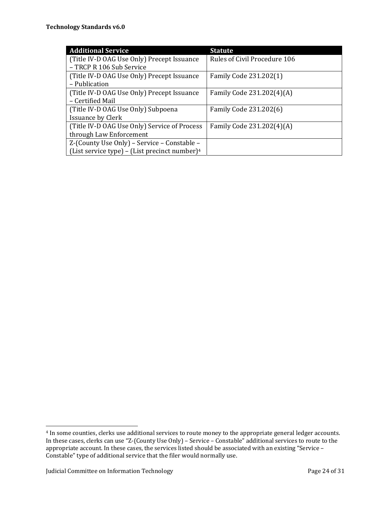| <b>Additional Service</b>                                 | <b>Statute</b>               |
|-----------------------------------------------------------|------------------------------|
| (Title IV-D OAG Use Only) Precept Issuance                | Rules of Civil Procedure 106 |
| - TRCP R 106 Sub Service                                  |                              |
| (Title IV-D OAG Use Only) Precept Issuance                | Family Code 231.202(1)       |
| - Publication                                             |                              |
| (Title IV-D OAG Use Only) Precept Issuance                | Family Code 231.202(4)(A)    |
| - Certified Mail                                          |                              |
| (Title IV-D OAG Use Only) Subpoena                        | Family Code 231.202(6)       |
| <b>Issuance by Clerk</b>                                  |                              |
| (Title IV-D OAG Use Only) Service of Process              | Family Code 231.202(4)(A)    |
| through Law Enforcement                                   |                              |
| Z-(County Use Only) - Service - Constable -               |                              |
| (List service type) – (List precinct number) <sup>4</sup> |                              |

 $\overline{\phantom{0}}$ 

<sup>4</sup> In some counties, clerks use additional services to route money to the appropriate general ledger accounts. In these cases, clerks can use "Z-(County Use Only) – Service – Constable" additional services to route to the appropriate account. In these cases, the services listed should be associated with an existing "Service – Constable" type of additional service that the filer would normally use.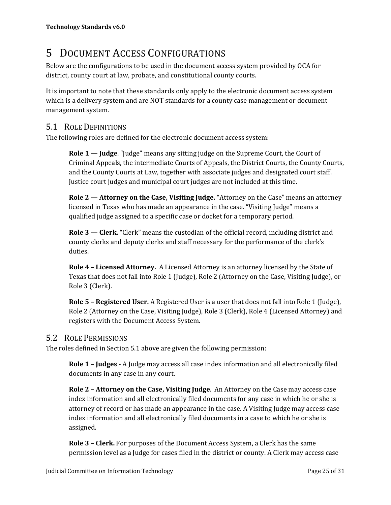## 5 DOCUMENT ACCESS CONFIGURATIONS

Below are the configurations to be used in the document access system provided by OCA for district, county court at law, probate, and constitutional county courts.

It is important to note that these standards only apply to the electronic document access system which is a delivery system and are NOT standards for a county case management or document management system.

## 5.1 ROLE DEFINITIONS

The following roles are defined for the electronic document access system:

**Role 1 — Judge**. "Judge" means any sitting judge on the Supreme Court, the Court of Criminal Appeals, the intermediate Courts of Appeals, the District Courts, the County Courts, and the County Courts at Law, together with associate judges and designated court staff. Justice court judges and municipal court judges are not included at this time.

**Role 2 — Attorney on the Case, Visiting Judge.** "Attorney on the Case" means an attorney licensed in Texas who has made an appearance in the case. "Visiting Judge" means a qualified judge assigned to a specific case or docket for a temporary period.

**Role 3 — Clerk.** "Clerk" means the custodian of the official record, including district and county clerks and deputy clerks and staff necessary for the performance of the clerk's duties.

**Role 4 – Licensed Attorney.** A Licensed Attorney is an attorney licensed by the State of Texas that does not fall into Role 1 (Judge), Role 2 (Attorney on the Case, Visiting Judge), or Role 3 (Clerk).

**Role 5 – Registered User.** A Registered User is a user that does not fall into Role 1 (Judge), Role 2 (Attorney on the Case, Visiting Judge), Role 3 (Clerk), Role 4 (Licensed Attorney) and registers with the Document Access System.

## 5.2 ROLE PERMISSIONS

The roles defined in Section 5.1 above are given the following permission:

**Role 1 – Judges** - A Judge may access all case index information and all electronically filed documents in any case in any court.

**Role 2 – Attorney on the Case, Visiting Judge**. An Attorney on the Case may access case index information and all electronically filed documents for any case in which he or she is attorney of record or has made an appearance in the case. A Visiting Judge may access case index information and all electronically filed documents in a case to which he or she is assigned.

**Role 3 – Clerk.** For purposes of the Document Access System, a Clerk has the same permission level as a Judge for cases filed in the district or county. A Clerk may access case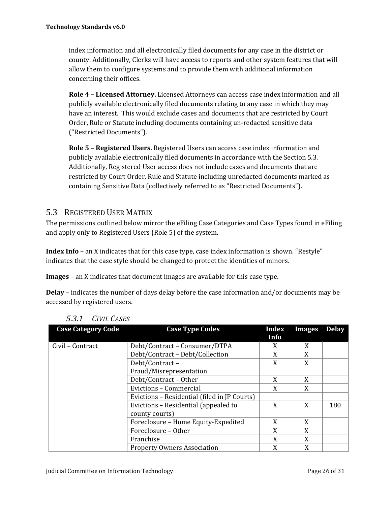index information and all electronically filed documents for any case in the district or county. Additionally, Clerks will have access to reports and other system features that will allow them to configure systems and to provide them with additional information concerning their offices.

**Role 4 – Licensed Attorney.** Licensed Attorneys can access case index information and all publicly available electronically filed documents relating to any case in which they may have an interest. This would exclude cases and documents that are restricted by Court Order, Rule or Statute including documents containing un-redacted sensitive data ("Restricted Documents").

**Role 5 – Registered Users.** Registered Users can access case index information and publicly available electronically filed documents in accordance with the Section 5.3. Additionally, Registered User access does not include cases and documents that are restricted by Court Order, Rule and Statute including unredacted documents marked as containing Sensitive Data (collectively referred to as "Restricted Documents").

## 5.3 REGISTERED USER MATRIX

The permissions outlined below mirror the eFiling Case Categories and Case Types found in eFiling and apply only to Registered Users (Role 5) of the system.

**Index Info** – an X indicates that for this case type, case index information is shown. "Restyle" indicates that the case style should be changed to protect the identities of minors.

**Images** – an X indicates that document images are available for this case type.

**Delay** – indicates the number of days delay before the case information and/or documents may be accessed by registered users.

| <b>Case Category Code</b> | <b>Case Type Codes</b>                       | Index<br>Info | <b>Images</b> | <b>Delay</b> |
|---------------------------|----------------------------------------------|---------------|---------------|--------------|
|                           |                                              |               |               |              |
| Civil - Contract          | Debt/Contract - Consumer/DTPA                | X             | X             |              |
|                           | Debt/Contract - Debt/Collection              | X             | X             |              |
|                           | Debt/Contract-                               | X             | X             |              |
|                           | Fraud/Misrepresentation                      |               |               |              |
|                           | Debt/Contract - Other                        | X             | X             |              |
|                           | Evictions - Commercial                       | X             | X             |              |
|                           | Evictions - Residential (filed in JP Courts) |               |               |              |
|                           | Evictions – Residential (appealed to         | X             | X             | 180          |
|                           | county courts)                               |               |               |              |
|                           | Foreclosure - Home Equity-Expedited          | X             | X             |              |
|                           | Foreclosure - Other                          | X             | X             |              |
|                           | Franchise                                    | X             | X             |              |
|                           | <b>Property Owners Association</b>           | X             | X             |              |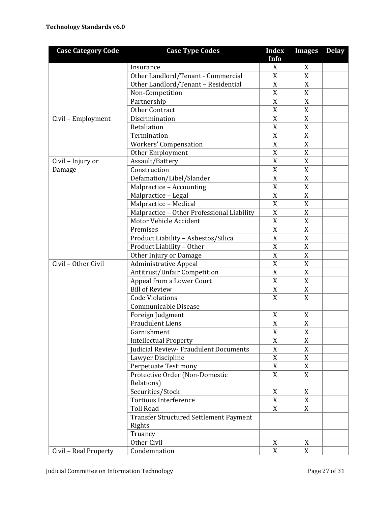| <b>Case Category Code</b> | <b>Case Type Codes</b>                     | <b>Index</b><br>Info | <b>Images</b> | <b>Delay</b> |
|---------------------------|--------------------------------------------|----------------------|---------------|--------------|
|                           | Insurance                                  | X                    | X             |              |
|                           | Other Landlord/Tenant - Commercial         | X                    | X             |              |
|                           | Other Landlord/Tenant - Residential        | X                    | X             |              |
|                           | Non-Competition                            | $\mathbf X$          | X             |              |
|                           | Partnership                                | $\mathbf X$          | X             |              |
|                           | <b>Other Contract</b>                      | X                    | X             |              |
| Civil - Employment        | Discrimination                             | X                    | X             |              |
|                           | Retaliation                                | X                    | X             |              |
|                           | Termination                                | X                    | X             |              |
|                           | <b>Workers' Compensation</b>               | X                    | X             |              |
|                           | Other Employment                           | $\mathbf X$          | $\mathbf X$   |              |
| Civil - Injury or         | Assault/Battery                            | $\mathbf X$          | X             |              |
| Damage                    | Construction                               | X                    | X             |              |
|                           | Defamation/Libel/Slander                   | X                    | X             |              |
|                           | Malpractice - Accounting                   | X                    | X             |              |
|                           | Malpractice - Legal                        | $\boldsymbol{X}$     | X             |              |
|                           | Malpractice - Medical                      | X                    | X             |              |
|                           | Malpractice - Other Professional Liability | $\mathbf X$          | X             |              |
|                           | Motor Vehicle Accident                     | $\mathbf X$          | X             |              |
|                           | Premises                                   | X                    | X             |              |
|                           | Product Liability - Asbestos/Silica        | X                    | X             |              |
|                           | Product Liability - Other                  | X                    | X             |              |
|                           | Other Injury or Damage                     | X                    | X             |              |
| Civil - Other Civil       | <b>Administrative Appeal</b>               | X                    | $\mathbf X$   |              |
|                           | Antitrust/Unfair Competition               | X                    | X             |              |
|                           | Appeal from a Lower Court                  | X                    | X             |              |
|                           | <b>Bill of Review</b>                      | X                    | X             |              |
|                           | <b>Code Violations</b>                     | X                    | X             |              |
|                           | Communicable Disease                       |                      |               |              |
|                           | Foreign Judgment                           | X                    | X             |              |
|                           | <b>Fraudulent Liens</b>                    | X                    | X             |              |
|                           | Garnishment                                | $\mathbf X$          | $\mathbf X$   |              |
|                           | <b>Intellectual Property</b>               | $\overline{X}$       | X             |              |
|                           | Judicial Review- Fraudulent Documents      | X                    | X             |              |
|                           | Lawyer Discipline                          | X                    | X             |              |
|                           | <b>Perpetuate Testimony</b>                | X                    | X             |              |
|                           | Protective Order (Non-Domestic             | X                    | $\mathbf X$   |              |
|                           | Relations)                                 |                      |               |              |
|                           | Securities/Stock                           | X                    | X             |              |
|                           | <b>Tortious Interference</b>               | X                    | X             |              |
|                           | <b>Toll Road</b>                           | X                    | X             |              |
|                           | Transfer Structured Settlement Payment     |                      |               |              |
|                           | Rights                                     |                      |               |              |
|                           | Truancy                                    |                      |               |              |
|                           | Other Civil                                | $\boldsymbol{X}$     | X             |              |
| Civil - Real Property     | Condemnation                               | $\mathbf X$          | X             |              |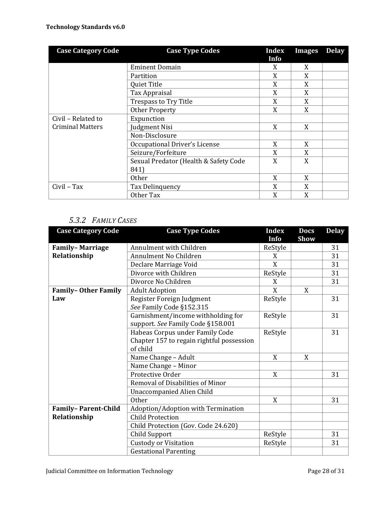| <b>Case Category Code</b> | <b>Case Type Codes</b>                | Index          | <b>Images</b> | <b>Delay</b> |
|---------------------------|---------------------------------------|----------------|---------------|--------------|
|                           |                                       | Info           |               |              |
|                           | <b>Eminent Domain</b>                 | X              | X             |              |
|                           | Partition                             | X              | X             |              |
|                           | Quiet Title                           | X              | X             |              |
|                           | Tax Appraisal                         | X              | X             |              |
|                           | <b>Trespass to Try Title</b>          | X              | X             |              |
|                           | Other Property                        | X              | X             |              |
| Civil - Related to        | Expunction                            |                |               |              |
| <b>Criminal Matters</b>   | Judgment Nisi                         | X              | X             |              |
|                           | Non-Disclosure                        |                |               |              |
|                           | Occupational Driver's License         | X              | X             |              |
|                           | Seizure/Forfeiture                    | $\overline{X}$ | X             |              |
|                           | Sexual Predator (Health & Safety Code | X              | X             |              |
|                           | 841)                                  |                |               |              |
|                           | 0ther                                 | X              | X             |              |
| Civil - Tax               | Tax Delinquency                       | X              | X             |              |
|                           | Other Tax                             | X              | X             |              |

## *5.3.2 FAMILY CASES*

| <b>Case Category Code</b>  | <b>Case Type Codes</b>                    | <b>Index</b> | <b>Docs</b> | <b>Delay</b> |
|----------------------------|-------------------------------------------|--------------|-------------|--------------|
|                            |                                           | Info         | <b>Show</b> |              |
| <b>Family-Marriage</b>     | Annulment with Children                   | ReStyle      |             | 31           |
| Relationship               | Annulment No Children                     | X            |             | 31           |
|                            | Declare Marriage Void                     | X            |             | 31           |
|                            | Divorce with Children                     | ReStyle      |             | 31           |
|                            | Divorce No Children                       | X            |             | 31           |
| <b>Family-Other Family</b> | <b>Adult Adoption</b>                     | X            | X           |              |
| Law                        | Register Foreign Judgment                 | ReStyle      |             | 31           |
|                            | See Family Code §152.315                  |              |             |              |
|                            | Garnishment/income withholding for        | ReStyle      |             | 31           |
|                            | support. See Family Code §158.001         |              |             |              |
|                            | Habeas Corpus under Family Code           | ReStyle      |             | 31           |
|                            | Chapter 157 to regain rightful possession |              |             |              |
|                            | of child                                  |              |             |              |
|                            | Name Change - Adult                       | X            | X           |              |
|                            | Name Change - Minor                       |              |             |              |
|                            | Protective Order                          | X            |             | 31           |
|                            | Removal of Disabilities of Minor          |              |             |              |
|                            | <b>Unaccompanied Alien Child</b>          |              |             |              |
|                            | Other                                     | X            |             | 31           |
| <b>Family-Parent-Child</b> | Adoption/Adoption with Termination        |              |             |              |
| Relationship               | <b>Child Protection</b>                   |              |             |              |
|                            | Child Protection (Gov. Code 24.620)       |              |             |              |
|                            | Child Support                             | ReStyle      |             | 31           |
|                            | <b>Custody or Visitation</b>              | ReStyle      |             | 31           |
|                            | <b>Gestational Parenting</b>              |              |             |              |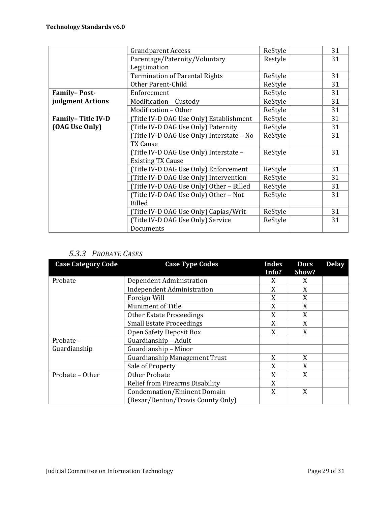|                     | <b>Grandparent Access</b>                 | ReStyle | 31 |
|---------------------|-------------------------------------------|---------|----|
|                     | Parentage/Paternity/Voluntary             | Restyle | 31 |
|                     | Legitimation                              |         |    |
|                     | <b>Termination of Parental Rights</b>     | ReStyle | 31 |
|                     | Other Parent-Child                        | ReStyle | 31 |
| <b>Family-Post-</b> | Enforcement                               | ReStyle | 31 |
| judgment Actions    | Modification - Custody                    | ReStyle | 31 |
|                     | Modification - Other                      | ReStyle | 31 |
| Family-Title IV-D   | (Title IV-D OAG Use Only) Establishment   | ReStyle | 31 |
| (OAG Use Only)      | Title IV-D OAG Use Only) Paternity        | ReStyle | 31 |
|                     | (Title IV-D OAG Use Only) Interstate - No | ReStyle | 31 |
|                     | <b>TX Cause</b>                           |         |    |
|                     | (Title IV-D OAG Use Only) Interstate -    | ReStyle | 31 |
|                     | <b>Existing TX Cause</b>                  |         |    |
|                     | (Title IV-D OAG Use Only) Enforcement     | ReStyle | 31 |
|                     | (Title IV-D OAG Use Only) Intervention    | ReStyle | 31 |
|                     | (Title IV-D OAG Use Only) Other - Billed  | ReStyle | 31 |
|                     | (Title IV-D OAG Use Only) Other - Not     | ReStyle | 31 |
|                     | <b>Billed</b>                             |         |    |
|                     | (Title IV-D OAG Use Only) Capias/Writ     | ReStyle | 31 |
|                     | (Title IV-D OAG Use Only) Service         | ReStyle | 31 |
|                     | Documents                                 |         |    |

### *5.3.3 PROBATE CASES*

| <b>Case Category Code</b> | <b>Case Type Codes</b>               | Index | <b>Docs</b> | <b>Delay</b> |
|---------------------------|--------------------------------------|-------|-------------|--------------|
|                           |                                      | Info? | Show?       |              |
| Probate                   | Dependent Administration             | X     | X           |              |
|                           | <b>Independent Administration</b>    | X     | X           |              |
|                           | Foreign Will                         | X     | X           |              |
|                           | Muniment of Title                    | X     | X           |              |
|                           | <b>Other Estate Proceedings</b>      | X     | X           |              |
|                           | <b>Small Estate Proceedings</b>      | X     | X           |              |
|                           | Open Safety Deposit Box              | X     | X           |              |
| Probate -                 | Guardianship - Adult                 |       |             |              |
| Guardianship              | Guardianship - Minor                 |       |             |              |
|                           | <b>Guardianship Management Trust</b> | X     | X           |              |
|                           | Sale of Property                     | X     | X           |              |
| Probate - Other           | <b>Other Probate</b>                 | X     | X           |              |
|                           | Relief from Firearms Disability      | X     |             |              |
|                           | <b>Condemnation/Eminent Domain</b>   | X     | X           |              |
|                           | (Bexar/Denton/Travis County Only)    |       |             |              |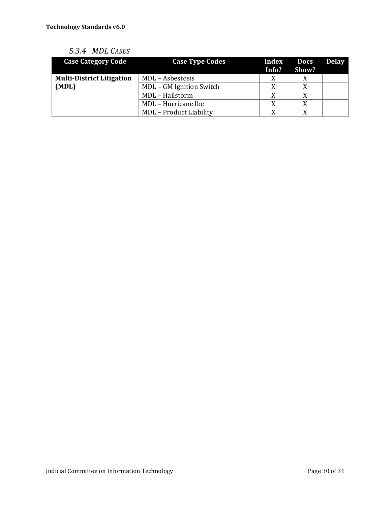| 5.3.4 MDL CASES |  |
|-----------------|--|
|                 |  |

| <b>Case Category Code</b>        | <b>Case Type Codes</b>         | Index<br>Info? | <b>Docs</b><br>Show? | <b>Delay</b> |
|----------------------------------|--------------------------------|----------------|----------------------|--------------|
| <b>Multi-District Litigation</b> | MDL - Asbestosis               | X              |                      |              |
| (MDL)                            | MDL - GM Ignition Switch       | X              | X                    |              |
|                                  | MDL - Hailstorm                | X              |                      |              |
|                                  | MDL - Hurricane Ike            | X              |                      |              |
|                                  | <b>MDL</b> - Product Liability | X              | X                    |              |